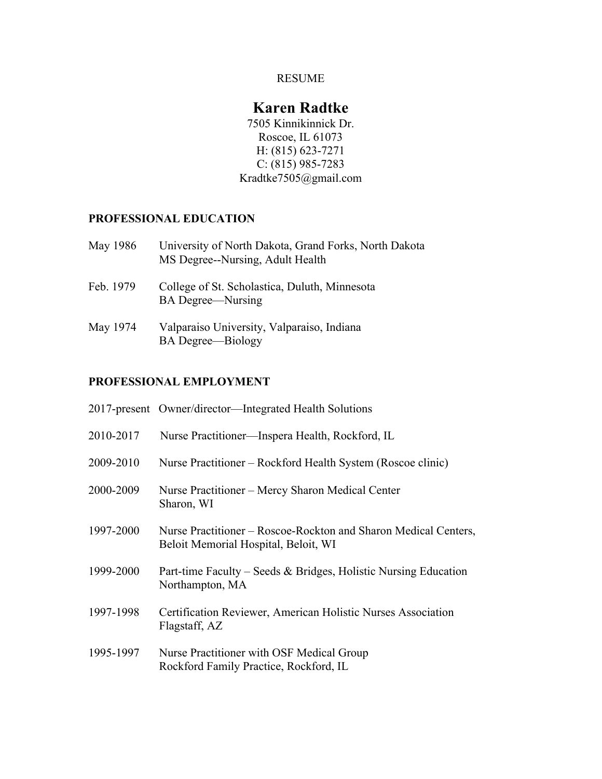### RESUME

# **Karen Radtke**

7505 Kinnikinnick Dr. Roscoe, IL 61073 H: (815) 623-7271 C:  $(815)$  985-7283 Kradtke7505@gmail.com

# **PROFESSIONAL EDUCATION**

| May 1986  | University of North Dakota, Grand Forks, North Dakota<br>MS Degree--Nursing, Adult Health |
|-----------|-------------------------------------------------------------------------------------------|
| Feb. 1979 | College of St. Scholastica, Duluth, Minnesota<br><b>BA</b> Degree—Nursing                 |
| May 1974  | Valparaiso University, Valparaiso, Indiana<br><b>BA</b> Degree-Biology                    |

## **PROFESSIONAL EMPLOYMENT**

|           | 2017-present Owner/director—Integrated Health Solutions                                                 |
|-----------|---------------------------------------------------------------------------------------------------------|
| 2010-2017 | Nurse Practitioner—Inspera Health, Rockford, IL                                                         |
| 2009-2010 | Nurse Practitioner – Rockford Health System (Roscoe clinic)                                             |
| 2000-2009 | Nurse Practitioner – Mercy Sharon Medical Center<br>Sharon, WI                                          |
| 1997-2000 | Nurse Practitioner – Roscoe-Rockton and Sharon Medical Centers,<br>Beloit Memorial Hospital, Beloit, WI |
| 1999-2000 | Part-time Faculty – Seeds & Bridges, Holistic Nursing Education<br>Northampton, MA                      |
| 1997-1998 | Certification Reviewer, American Holistic Nurses Association<br>Flagstaff, AZ                           |
| 1995-1997 | Nurse Practitioner with OSF Medical Group<br>Rockford Family Practice, Rockford, IL                     |